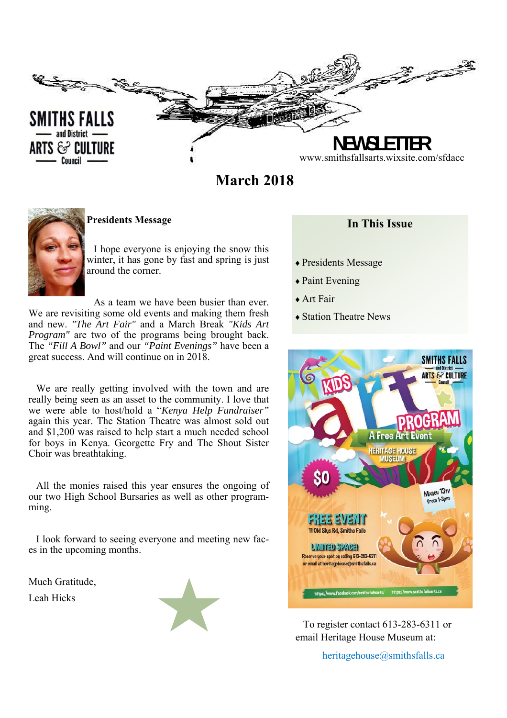

**March 2018** 



**Presidents Message** 

 I hope everyone is enjoying the snow this winter, it has gone by fast and spring is just around the corner.

 As a team we have been busier than ever. We are revisiting some old events and making them fresh and new. *"The Art Fair"* and a March Break *"Kids Art Program"* are two of the programs being brought back. The *"Fill A Bowl"* and our *"Paint Evenings"* have been a great success. And will continue on in 2018.

We are really getting involved with the town and are really being seen as an asset to the community. I love that we were able to host/hold a "*Kenya Help Fundraiser"*  again this year. The Station Theatre was almost sold out and \$1,200 was raised to help start a much needed school for boys in Kenya. Georgette Fry and The Shout Sister Choir was breathtaking.

All the monies raised this year ensures the ongoing of our two High School Bursaries as well as other programming.

I look forward to seeing everyone and meeting new faces in the upcoming months.

Much Gratitude, Leah Hicks



# **In This Issue**

- Presidents Message
- ◆ Paint Evening
- Art Fair
- Station Theatre News



To register contact 613-283-6311 or email Heritage House Museum at:

heritagehouse@smithsfalls.ca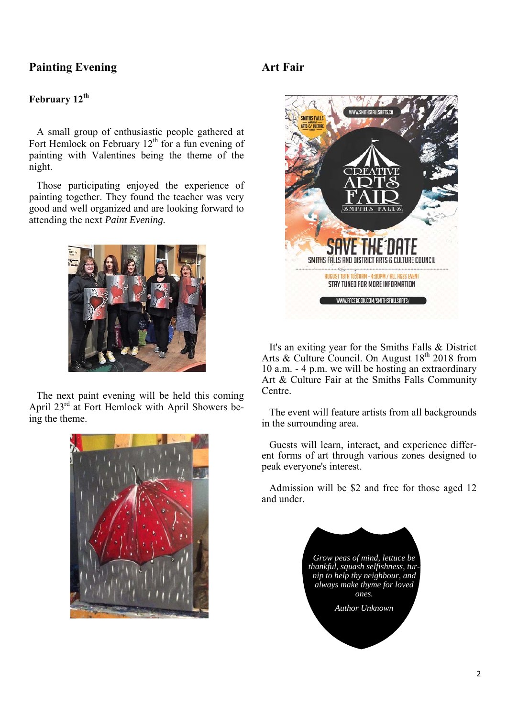# **Painting Evening**

## **February 12th**

A small group of enthusiastic people gathered at Fort Hemlock on February  $12<sup>th</sup>$  for a fun evening of painting with Valentines being the theme of the night.

Those participating enjoyed the experience of painting together. They found the teacher was very good and well organized and are looking forward to attending the next *Paint Evening.*



The next paint evening will be held this coming April  $23^{rd}$  at Fort Hemlock with April Showers being the theme.



# **Art Fair**



It's an exiting year for the Smiths Falls & District Arts & Culture Council. On August  $18<sup>th</sup> 2018$  from 10 a.m. - 4 p.m. we will be hosting an extraordinary Art & Culture Fair at the Smiths Falls Community Centre.

The event will feature artists from all backgrounds in the surrounding area.

Guests will learn, interact, and experience different forms of art through various zones designed to peak everyone's interest.

Admission will be \$2 and free for those aged 12 and under.

> *Grow peas of mind, lettuce be thankful, squash selfishness, turnip to help thy neighbour, and always make thyme for loved ones. Author Unknown*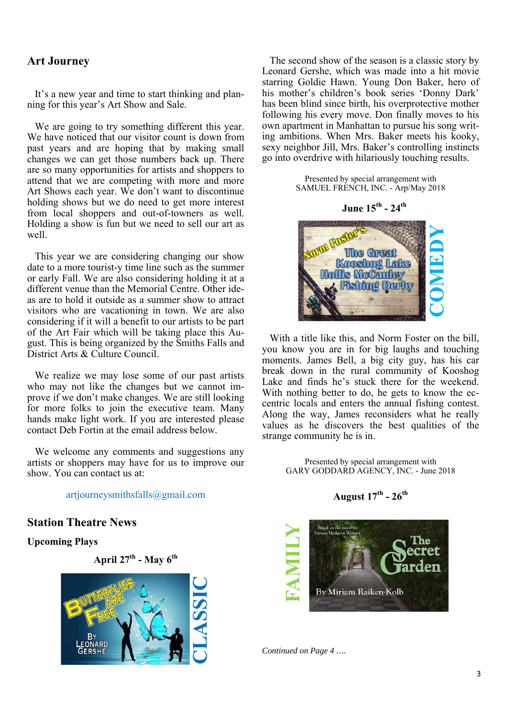### **Art Journey**

It's a new year and time to start thinking and planning for this year's Art Show and Sale.

We are going to try something different this year. We have noticed that our visitor count is down from past years and are hoping that by making small changes we can get those numbers back up. There are so many opportunities for artists and shoppers to attend that we are competing with more and more Art Shows each year. We don't want to discontinue holding shows but we do need to get more interest from local shoppers and out-of-towners as well. Holding a show is fun but we need to sell our art as well.

This year we are considering changing our show date to a more tourist-y time line such as the summer or early Fall. We are also considering holding it at a different venue than the Memorial Centre. Other ideas are to hold it outside as a summer show to attract visitors who are vacationing in town. We are also considering if it will a benefit to our artists to be part of the Art Fair which will be taking place this August. This is being organized by the Smiths Falls and District Arts & Culture Council.

We realize we may lose some of our past artists who may not like the changes but we cannot improve if we don't make changes. We are still looking for more folks to join the executive team. Many hands make light work. If you are interested please contact Deb Fortin at the email address below.

We welcome any comments and suggestions any artists or shoppers may have for us to improve our show. You can contact us at:

artjourneysmithsfalls@gmail.com

**Station Theatre News** 

**Upcoming Plays** 

**April 27th - May 6th**



The second show of the season is a classic story by Leonard Gershe, which was made into a hit movie starring Goldie Hawn. Young Don Baker, hero of his mother's children's book series 'Donny Dark' has been blind since birth, his overprotective mother following his every move. Don finally moves to his own apartment in Manhattan to pursue his song writing ambitions. When Mrs. Baker meets his kooky, sexy neighbor Jill, Mrs. Baker's controlling instincts go into overdrive with hilariously touching results.

> Presented by special arrangement with SAMUEL FRENCH, INC. - Arp/May 2018

> > **June 15th - 24th**



With a title like this, and Norm Foster on the bill, you know you are in for big laughs and touching moments. James Bell, a big city guy, has his car break down in the rural community of Kooshog Lake and finds he's stuck there for the weekend. With nothing better to do, he gets to know the eccentric locals and enters the annual fishing contest. Along the way, James reconsiders what he really values as he discovers the best qualities of the strange community he is in.

> Presented by special arrangement with GARY GODDARD AGENCY, INC. - June 2018

> > **August 17th - 26th**



*Continued on Page 4 ….*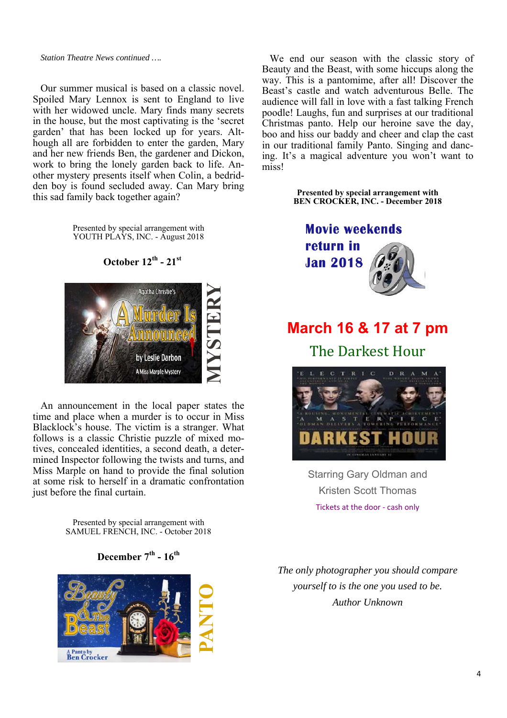#### *Station Theatre News continued ….*

Our summer musical is based on a classic novel. Spoiled Mary Lennox is sent to England to live with her widowed uncle. Mary finds many secrets in the house, but the most captivating is the 'secret garden' that has been locked up for years. Although all are forbidden to enter the garden, Mary and her new friends Ben, the gardener and Dickon, work to bring the lonely garden back to life. Another mystery presents itself when Colin, a bedridden boy is found secluded away. Can Mary bring this sad family back together again?

> Presented by special arrangement with YOUTH PLAYS, INC. - August 2018

#### **October 12th - 21st**



An announcement in the local paper states the time and place when a murder is to occur in Miss Blacklock's house. The victim is a stranger. What follows is a classic Christie puzzle of mixed motives, concealed identities, a second death, a determined Inspector following the twists and turns, and Miss Marple on hand to provide the final solution at some risk to herself in a dramatic confrontation just before the final curtain.

> Presented by special arrangement with SAMUEL FRENCH, INC. - October 2018

#### December 7<sup>th</sup> - 16<sup>th</sup>



We end our season with the classic story of Beauty and the Beast, with some hiccups along the way. This is a pantomime, after all! Discover the Beast's castle and watch adventurous Belle. The audience will fall in love with a fast talking French poodle! Laughs, fun and surprises at our traditional Christmas panto. Help our heroine save the day, boo and hiss our baddy and cheer and clap the cast in our traditional family Panto. Singing and dancing. It's a magical adventure you won't want to miss!

> **Presented by special arrangement with BEN CROCKER, INC. - December 2018**



# **March 16 & 17 at 7 pm**

The Darkest Hour



Starring Gary Oldman and Kristen Scott Thomas Tickets at the door ‐ cash only

*The only photographer you should compare yourself to is the one you used to be. Author Unknown*